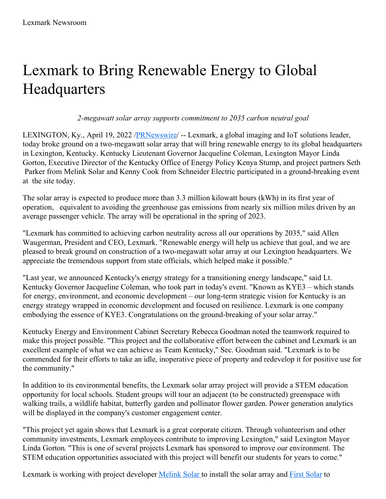## Lexmark to Bring Renewable Energy to Global **Headquarters**

*2-megawatt solar array supports commitment to 2035 carbon neutral goal*

LEXINGTON, Ky., April 19, 2022 /**PRNewswire/** -- Lexmark, a global imaging and IoT solutions leader, today broke ground on a two-megawatt solar array that will bring renewable energy to its global headquarters in Lexington, Kentucky. Kentucky Lieutenant Governor Jacqueline Coleman, Lexington Mayor Linda Gorton, Executive Director of the Kentucky Office of Energy Policy Kenya Stump, and project partners Seth Parker from Melink Solar and Kenny Cook from Schneider Electric participated in a ground-breaking event at the site today.

The solar array is expected to produce more than 3.3 million kilowatt hours (kWh) in its first year of operation, equivalent to avoiding the greenhouse gas emissions from nearly six million miles driven by an average passenger vehicle. The array will be operational in the spring of 2023.

"Lexmark has committed to achieving carbon neutrality across all our operations by 2035," said Allen Waugerman, President and CEO, Lexmark. "Renewable energy will help us achieve that goal, and we are pleased to break ground on construction of a two-megawatt solar array at our Lexington headquarters. We appreciate the tremendous support from state officials, which helped make it possible."

"Last year, we announced Kentucky's energy strategy for a transitioning energy landscape," said Lt. Kentucky Governor Jacqueline Coleman, who took part in today's event. "Known as KYE3 – which stands for energy, environment, and economic development – our long-term strategic vision for Kentucky is an energy strategy wrapped in economic development and focused on resilience. Lexmark is one company embodying the essence of KYE3. Congratulations on the ground-breaking of your solar array."

Kentucky Energy and Environment Cabinet Secretary Rebecca Goodman noted the teamwork required to make this project possible. "This project and the collaborative effort between the cabinet and Lexmark is an excellent example of what we can achieve as Team Kentucky," Sec. Goodman said. "Lexmark is to be commended for their efforts to take an idle, inoperative piece of property and redevelop it for positive use for the community."

In addition to its environmental benefits, the Lexmark solar array project will provide a STEM education opportunity for local schools. Student groups will tour an adjacent (to be constructed) greenspace with walking trails, a wildlife habitat, butterfly garden and pollinator flower garden. Power generation analytics will be displayed in the company's customer engagement center.

"This project yet again shows that Lexmark is a great corporate citizen. Through volunteerism and other community investments, Lexmark employees contribute to improving Lexington," said Lexington Mayor Linda Gorton. "This is one of several projects Lexmark has sponsored to improve our environment. The STEM education opportunities associated with this project will benefit our students for years to come."

Lexmark is working with project developer [Melink](http://www.melinksolar.com) [Solar](https://c212.net/c/link/?t=0&l=en&o=3509502-1&h=290818004&u=https%3A%2F%2Fwww.firstsolar.com%2F&a=First+Solar) to install the solar array and First Solar to